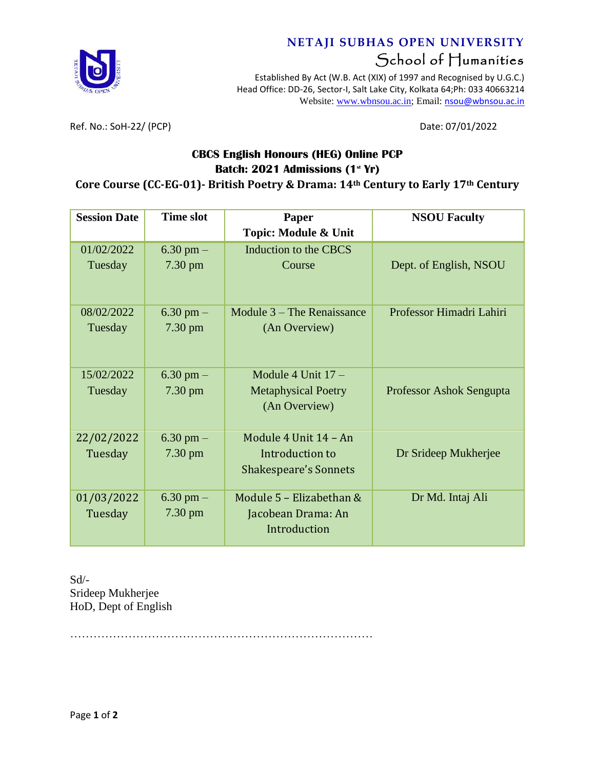

## **NETAJI SUBHAS OPEN UNIVERSITY** School of Humanities

Established By Act (W.B. Act (XIX) of 1997 and Recognised by U.G.C.) Head Office: DD-26, Sector-I, Salt Lake City, Kolkata 64;Ph: 033 40663214 Website: [www.wbnsou.ac.in;](http://www.wbnsou.ac.in/) Email: [nsou@wbnsou.ac.in](mailto:nsou@wbnsou.ac.in)

Ref. No.: SoH-22/ (PCP) Date: 07/01/2022

### **CBCS English Honours (HEG) Online PCP Batch: 2021 Admissions (1 st Yr)**

#### **Core Course (CC-EG-01)- British Poetry & Drama: 14th Century to Early 17th Century**

| <b>Session Date</b>   | <b>Time slot</b>                   | Paper                                                                    | <b>NSOU Faculty</b>      |
|-----------------------|------------------------------------|--------------------------------------------------------------------------|--------------------------|
|                       |                                    | <b>Topic: Module &amp; Unit</b>                                          |                          |
| 01/02/2022<br>Tuesday | $6.30$ pm $-$<br>7.30 pm           | Induction to the CBCS<br>Course                                          | Dept. of English, NSOU   |
| 08/02/2022<br>Tuesday | $6.30$ pm $-$<br>$7.30 \text{ pm}$ | Module 3 – The Renaissance<br>(An Overview)                              | Professor Himadri Lahiri |
| 15/02/2022<br>Tuesday | 6.30 pm $-$<br>$7.30 \text{ pm}$   | Module 4 Unit $17 -$<br><b>Metaphysical Poetry</b><br>(An Overview)      | Professor Ashok Sengupta |
| 22/02/2022<br>Tuesday | 6.30 pm $-$<br>$7.30 \text{ pm}$   | Module 4 Unit 14 - An<br>Introduction to<br><b>Shakespeare's Sonnets</b> | Dr Srideep Mukherjee     |
| 01/03/2022<br>Tuesday | $6.30$ pm $-$<br>7.30 pm           | Module 5 - Elizabethan &<br>Jacobean Drama: An<br>Introduction           | Dr Md. Intaj Ali         |

Sd/- Srideep Mukherjee HoD, Dept of English

……………………………………………………………………